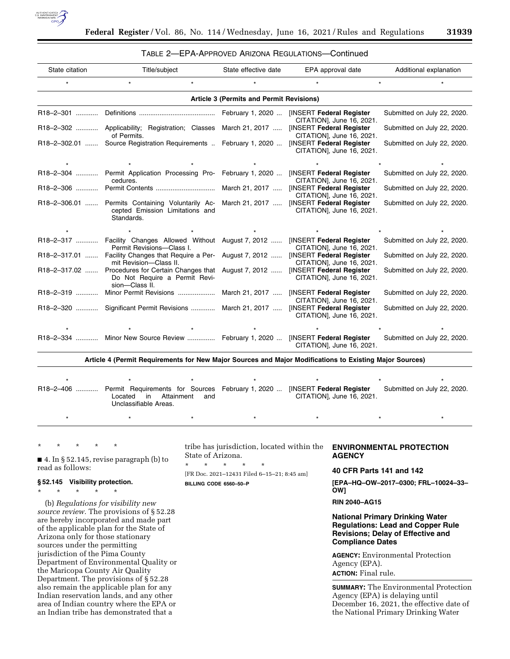

# TABLE 2—EPA-APPROVED ARIZONA REGULATIONS—Continued

| State citation                                                                                          | Title/subject                                                                                                                                        | State effective date | EPA approval date         | Additional explanation      |
|---------------------------------------------------------------------------------------------------------|------------------------------------------------------------------------------------------------------------------------------------------------------|----------------------|---------------------------|-----------------------------|
|                                                                                                         |                                                                                                                                                      |                      |                           |                             |
| Article 3 (Permits and Permit Revisions)                                                                |                                                                                                                                                      |                      |                           |                             |
|                                                                                                         |                                                                                                                                                      |                      | CITATION], June 16, 2021. | Submitted on July 22, 2020. |
|                                                                                                         | R18-2-302  Applicability; Registration; Classes March 21, 2017  [INSERT Federal Register<br>of Permits.                                              |                      | CITATION], June 16, 2021. | Submitted on July 22, 2020. |
|                                                                                                         | R18-2-302.01  Source Registration Requirements  February 1, 2020  [INSERT Federal Register                                                           |                      | CITATION], June 16, 2021. | Submitted on July 22, 2020. |
|                                                                                                         |                                                                                                                                                      |                      |                           |                             |
|                                                                                                         | R18-2-304  Permit Application Processing Pro- February 1, 2020  [INSERT Federal Register<br>cedures.                                                 |                      | CITATION], June 16, 2021. | Submitted on July 22, 2020. |
|                                                                                                         |                                                                                                                                                      |                      | CITATION], June 16, 2021. | Submitted on July 22, 2020. |
|                                                                                                         | R18-2-306.01  Permits Containing Voluntarily Ac- March 21, 2017  [INSERT Federal Register<br>cepted Emission Limitations and<br>Standards.           |                      | CITATION], June 16, 2021. | Submitted on July 22, 2020. |
|                                                                                                         |                                                                                                                                                      |                      |                           |                             |
|                                                                                                         | R18-2-317  Facility Changes Allowed Without August 7, 2012  [INSERT Federal Register<br>Permit Revisions-Class I.                                    |                      | CITATION], June 16, 2021. | Submitted on July 22, 2020. |
|                                                                                                         | R18-2-317.01  Facility Changes that Require a Per- August 7, 2012  [INSERT Federal Register<br>mit Revision-Class II.                                |                      | CITATION], June 16, 2021. | Submitted on July 22, 2020. |
|                                                                                                         | R18-2-317.02  Procedures for Certain Changes that August 7, 2012  [INSERT Federal Register<br>Do Not Require a Permit Revi-<br>sion-Class II.        |                      | CITATION], June 16, 2021. | Submitted on July 22, 2020. |
|                                                                                                         | R18-2-319  Minor Permit Revisions  March 21, 2017  [INSERT Federal Register                                                                          |                      | CITATION], June 16, 2021. | Submitted on July 22, 2020. |
|                                                                                                         | R18-2-320  Significant Permit Revisions  March 21, 2017  [INSERT Federal Register                                                                    |                      | CITATION], June 16, 2021. | Submitted on July 22, 2020. |
|                                                                                                         |                                                                                                                                                      |                      |                           |                             |
|                                                                                                         | R18-2-334  Minor New Source Review  February 1, 2020  [INSERT Federal Register                                                                       |                      | CITATION], June 16, 2021. | Submitted on July 22, 2020. |
| Article 4 (Permit Requirements for New Major Sources and Major Modifications to Existing Major Sources) |                                                                                                                                                      |                      |                           |                             |
|                                                                                                         |                                                                                                                                                      |                      |                           |                             |
|                                                                                                         | R18-2-406  Permit Requirements for Sources February 1, 2020  [INSERT Federal Register<br>Attainment<br>Located<br>in<br>and<br>Unclassifiable Areas. |                      | CITATION], June 16, 2021. | Submitted on July 22, 2020. |
|                                                                                                         |                                                                                                                                                      |                      |                           |                             |

\* \* \* \* \*

■ 4. In § 52.145, revise paragraph (b) to read as follows:

## **§ 52.145 Visibility protection.**

\* \* \* \* \*

(b) *Regulations for visibility new source review.* The provisions of § 52.28 are hereby incorporated and made part of the applicable plan for the State of Arizona only for those stationary sources under the permitting jurisdiction of the Pima County Department of Environmental Quality or the Maricopa County Air Quality Department. The provisions of § 52.28 also remain the applicable plan for any Indian reservation lands, and any other area of Indian country where the EPA or an Indian tribe has demonstrated that a

tribe has jurisdiction, located within the State of Arizona.

[FR Doc. 2021–12431 Filed 6–15–21; 8:45 am] **BILLING CODE 6560–50–P** 

\* \* \* \* \*

# **ENVIRONMENTAL PROTECTION AGENCY**

**40 CFR Parts 141 and 142** 

**[EPA–HQ–OW–2017–0300; FRL–10024–33– OW]** 

# **RIN 2040–AG15**

# **National Primary Drinking Water Regulations: Lead and Copper Rule Revisions; Delay of Effective and Compliance Dates**

**AGENCY:** Environmental Protection Agency (EPA). **ACTION:** Final rule.

**SUMMARY:** The Environmental Protection Agency (EPA) is delaying until December 16, 2021, the effective date of the National Primary Drinking Water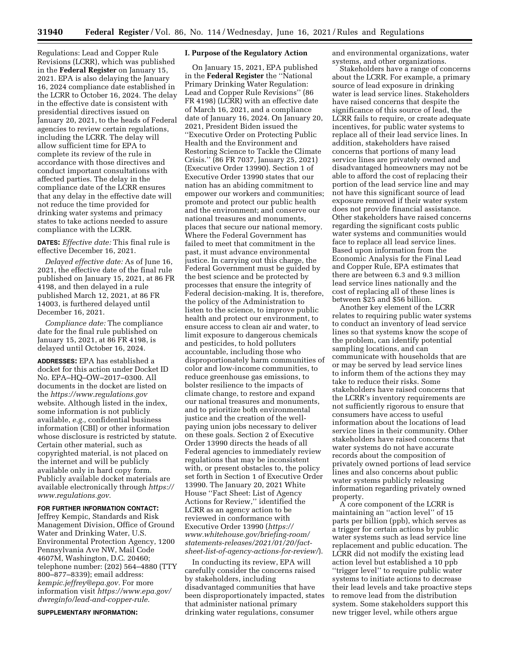Regulations: Lead and Copper Rule Revisions (LCRR), which was published in the **Federal Register** on January 15, 2021. EPA is also delaying the January 16, 2024 compliance date established in the LCRR to October 16, 2024. The delay in the effective date is consistent with presidential directives issued on January 20, 2021, to the heads of Federal agencies to review certain regulations, including the LCRR. The delay will allow sufficient time for EPA to complete its review of the rule in accordance with those directives and conduct important consultations with affected parties. The delay in the compliance date of the LCRR ensures that any delay in the effective date will not reduce the time provided for drinking water systems and primacy states to take actions needed to assure compliance with the LCRR.

**DATES:** *Effective date:* This final rule is effective December 16, 2021.

*Delayed effective date:* As of June 16, 2021, the effective date of the final rule published on January 15, 2021, at 86 FR 4198, and then delayed in a rule published March 12, 2021, at 86 FR 14003, is furthered delayed until December 16, 2021.

*Compliance date:* The compliance date for the final rule published on January 15, 2021, at 86 FR 4198, is delayed until October 16, 2024.

**ADDRESSES:** EPA has established a docket for this action under Docket ID No. EPA–HQ–OW–2017–0300. All documents in the docket are listed on the *<https://www.regulations.gov>* website. Although listed in the index, some information is not publicly available, *e.g.,* confidential business information (CBI) or other information whose disclosure is restricted by statute. Certain other material, such as copyrighted material, is not placed on the internet and will be publicly available only in hard copy form. Publicly available docket materials are available electronically through *[https://](https://www.regulations.gov)  [www.regulations.gov.](https://www.regulations.gov)* 

# **FOR FURTHER INFORMATION CONTACT:**

Jeffrey Kempic, Standards and Risk Management Division, Office of Ground Water and Drinking Water, U.S. Environmental Protection Agency, 1200 Pennsylvania Ave NW, Mail Code 4607M, Washington, D.C. 20460; telephone number: (202) 564–4880 (TTY 800–877–8339); email address: *[kempic.jeffrey@epa.gov.](mailto:kempic.jeffrey@epa.gov)* For more information visit *[https://www.epa.gov/](https://www.epa.gov/dwreginfo/lead-and-copper-rule)  [dwreginfo/lead-and-copper-rule.](https://www.epa.gov/dwreginfo/lead-and-copper-rule)* 

**SUPPLEMENTARY INFORMATION:** 

#### **I. Purpose of the Regulatory Action**

On January 15, 2021, EPA published in the **Federal Register** the ''National Primary Drinking Water Regulation: Lead and Copper Rule Revisions'' (86 FR 4198) (LCRR) with an effective date of March 16, 2021, and a compliance date of January 16, 2024. On January 20, 2021, President Biden issued the ''Executive Order on Protecting Public Health and the Environment and Restoring Science to Tackle the Climate Crisis.'' (86 FR 7037, January 25, 2021) (Executive Order 13990). Section 1 of Executive Order 13990 states that our nation has an abiding commitment to empower our workers and communities; promote and protect our public health and the environment; and conserve our national treasures and monuments, places that secure our national memory. Where the Federal Government has failed to meet that commitment in the past, it must advance environmental justice. In carrying out this charge, the Federal Government must be guided by the best science and be protected by processes that ensure the integrity of Federal decision-making. It is, therefore, the policy of the Administration to listen to the science, to improve public health and protect our environment, to ensure access to clean air and water, to limit exposure to dangerous chemicals and pesticides, to hold polluters accountable, including those who disproportionately harm communities of color and low-income communities, to reduce greenhouse gas emissions, to bolster resilience to the impacts of climate change, to restore and expand our national treasures and monuments, and to prioritize both environmental justice and the creation of the wellpaying union jobs necessary to deliver on these goals. Section 2 of Executive Order 13990 directs the heads of all Federal agencies to immediately review regulations that may be inconsistent with, or present obstacles to, the policy set forth in Section 1 of Executive Order 13990. The January 20, 2021 White House ''Fact Sheet: List of Agency Actions for Review,'' identified the LCRR as an agency action to be reviewed in conformance with Executive Order 13990 (*[https://](https://www.whitehouse.gov/briefing-room/statements-releases/2021/01/20/fact-sheet-list-of-agency-actions-for-review/) [www.whitehouse.gov/briefing-room/](https://www.whitehouse.gov/briefing-room/statements-releases/2021/01/20/fact-sheet-list-of-agency-actions-for-review/) [statements-releases/2021/01/20/fact](https://www.whitehouse.gov/briefing-room/statements-releases/2021/01/20/fact-sheet-list-of-agency-actions-for-review/)[sheet-list-of-agency-actions-for-review/](https://www.whitehouse.gov/briefing-room/statements-releases/2021/01/20/fact-sheet-list-of-agency-actions-for-review/)*).

In conducting its review, EPA will carefully consider the concerns raised by stakeholders, including disadvantaged communities that have been disproportionately impacted, states that administer national primary drinking water regulations, consumer

and environmental organizations, water systems, and other organizations.

Stakeholders have a range of concerns about the LCRR. For example, a primary source of lead exposure in drinking water is lead service lines. Stakeholders have raised concerns that despite the significance of this source of lead, the LCRR fails to require, or create adequate incentives, for public water systems to replace all of their lead service lines. In addition, stakeholders have raised concerns that portions of many lead service lines are privately owned and disadvantaged homeowners may not be able to afford the cost of replacing their portion of the lead service line and may not have this significant source of lead exposure removed if their water system does not provide financial assistance. Other stakeholders have raised concerns regarding the significant costs public water systems and communities would face to replace all lead service lines. Based upon information from the Economic Analysis for the Final Lead and Copper Rule, EPA estimates that there are between 6.3 and 9.3 million lead service lines nationally and the cost of replacing all of these lines is between \$25 and \$56 billion.

Another key element of the LCRR relates to requiring public water systems to conduct an inventory of lead service lines so that systems know the scope of the problem, can identify potential sampling locations, and can communicate with households that are or may be served by lead service lines to inform them of the actions they may take to reduce their risks. Some stakeholders have raised concerns that the LCRR's inventory requirements are not sufficiently rigorous to ensure that consumers have access to useful information about the locations of lead service lines in their community. Other stakeholders have raised concerns that water systems do not have accurate records about the composition of privately owned portions of lead service lines and also concerns about public water systems publicly releasing information regarding privately owned property.

A core component of the LCRR is maintaining an ''action level'' of 15 parts per billion (ppb), which serves as a trigger for certain actions by public water systems such as lead service line replacement and public education. The LCRR did not modify the existing lead action level but established a 10 ppb ''trigger level'' to require public water systems to initiate actions to decrease their lead levels and take proactive steps to remove lead from the distribution system. Some stakeholders support this new trigger level, while others argue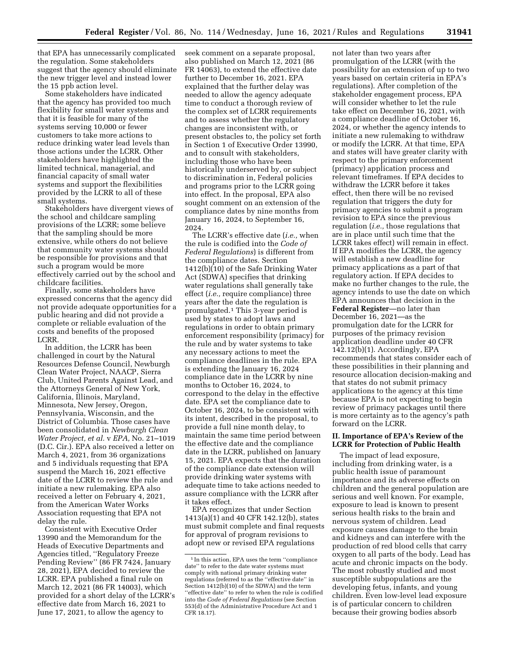that EPA has unnecessarily complicated the regulation. Some stakeholders suggest that the agency should eliminate the new trigger level and instead lower the 15 ppb action level.

Some stakeholders have indicated that the agency has provided too much flexibility for small water systems and that it is feasible for many of the systems serving 10,000 or fewer customers to take more actions to reduce drinking water lead levels than those actions under the LCRR. Other stakeholders have highlighted the limited technical, managerial, and financial capacity of small water systems and support the flexibilities provided by the LCRR to all of these small systems.

Stakeholders have divergent views of the school and childcare sampling provisions of the LCRR; some believe that the sampling should be more extensive, while others do not believe that community water systems should be responsible for provisions and that such a program would be more effectively carried out by the school and childcare facilities.

Finally, some stakeholders have expressed concerns that the agency did not provide adequate opportunities for a public hearing and did not provide a complete or reliable evaluation of the costs and benefits of the proposed LCRR.

In addition, the LCRR has been challenged in court by the Natural Resources Defense Council, Newburgh Clean Water Project, NAACP, Sierra Club, United Parents Against Lead, and the Attorneys General of New York, California, Illinois, Maryland, Minnesota, New Jersey, Oregon, Pennsylvania, Wisconsin, and the District of Columbia. Those cases have been consolidated in *Newburgh Clean Water Project, et al.* v *EPA,* No. 21–1019 (D.C. Cir.). EPA also received a letter on March 4, 2021, from 36 organizations and 5 individuals requesting that EPA suspend the March 16, 2021 effective date of the LCRR to review the rule and initiate a new rulemaking. EPA also received a letter on February 4, 2021, from the American Water Works Association requesting that EPA not delay the rule.

Consistent with Executive Order 13990 and the Memorandum for the Heads of Executive Departments and Agencies titled, ''Regulatory Freeze Pending Review'' (86 FR 7424, January 28, 2021), EPA decided to review the LCRR. EPA published a final rule on March 12, 2021 (86 FR 14003), which provided for a short delay of the LCRR's effective date from March 16, 2021 to June 17, 2021, to allow the agency to

seek comment on a separate proposal, also published on March 12, 2021 (86 FR 14063), to extend the effective date further to December 16, 2021. EPA explained that the further delay was needed to allow the agency adequate time to conduct a thorough review of the complex set of LCRR requirements and to assess whether the regulatory changes are inconsistent with, or present obstacles to, the policy set forth in Section 1 of Executive Order 13990, and to consult with stakeholders, including those who have been historically underserved by, or subject to discrimination in, Federal policies and programs prior to the LCRR going into effect. In the proposal, EPA also sought comment on an extension of the compliance dates by nine months from January 16, 2024, to September 16, 2024.

The LCRR's effective date (*i.e.,* when the rule is codified into the *Code of Federal Regulations*) is different from the compliance dates. Section 1412(b)(10) of the Safe Drinking Water Act (SDWA) specifies that drinking water regulations shall generally take effect (*i.e.,* require compliance) three years after the date the regulation is promulgated.1 This 3-year period is used by states to adopt laws and regulations in order to obtain primary enforcement responsibility (primacy) for the rule and by water systems to take any necessary actions to meet the compliance deadlines in the rule. EPA is extending the January 16, 2024 compliance date in the LCRR by nine months to October 16, 2024, to correspond to the delay in the effective date. EPA set the compliance date to October 16, 2024, to be consistent with its intent, described in the proposal, to provide a full nine month delay, to maintain the same time period between the effective date and the compliance date in the LCRR, published on January 15, 2021. EPA expects that the duration of the compliance date extension will provide drinking water systems with adequate time to take actions needed to assure compliance with the LCRR after it takes effect.

EPA recognizes that under Section 1413(a)(1) and 40 CFR 142.12(b), states must submit complete and final requests for approval of program revisions to adopt new or revised EPA regulations

not later than two years after promulgation of the LCRR (with the possibility for an extension of up to two years based on certain criteria in EPA's regulations). After completion of the stakeholder engagement process, EPA will consider whether to let the rule take effect on December 16, 2021, with a compliance deadline of October 16, 2024, or whether the agency intends to initiate a new rulemaking to withdraw or modify the LCRR. At that time, EPA and states will have greater clarity with respect to the primary enforcement (primacy) application process and relevant timeframes. If EPA decides to withdraw the LCRR before it takes effect, then there will be no revised regulation that triggers the duty for primacy agencies to submit a program revision to EPA since the previous regulation (*i.e.,* those regulations that are in place until such time that the LCRR takes effect) will remain in effect. If EPA modifies the LCRR, the agency will establish a new deadline for primacy applications as a part of that regulatory action. If EPA decides to make no further changes to the rule, the agency intends to use the date on which EPA announces that decision in the **Federal Register**—no later than December 16, 2021—as the promulgation date for the LCRR for purposes of the primacy revision application deadline under 40 CFR 142.12(b)(1). Accordingly, EPA recommends that states consider each of these possibilities in their planning and resource allocation decision-making and that states do not submit primacy applications to the agency at this time because EPA is not expecting to begin review of primacy packages until there is more certainty as to the agency's path forward on the LCRR.

#### **II. Importance of EPA's Review of the LCRR for Protection of Public Health**

The impact of lead exposure, including from drinking water, is a public health issue of paramount importance and its adverse effects on children and the general population are serious and well known. For example, exposure to lead is known to present serious health risks to the brain and nervous system of children. Lead exposure causes damage to the brain and kidneys and can interfere with the production of red blood cells that carry oxygen to all parts of the body. Lead has acute and chronic impacts on the body. The most robustly studied and most susceptible subpopulations are the developing fetus, infants, and young children. Even low-level lead exposure is of particular concern to children because their growing bodies absorb

<sup>1</sup> In this action, EPA uses the term ''compliance date'' to refer to the date water systems must comply with national primary drinking water regulations (referred to as the ''effective date'' in Section 1412(b)(10) of the SDWA) and the term "effective date" to refer to when the rule is codified into the *Code of Federal Regulations* (see Section 553(d) of the Administrative Procedure Act and 1 CFR 18.17).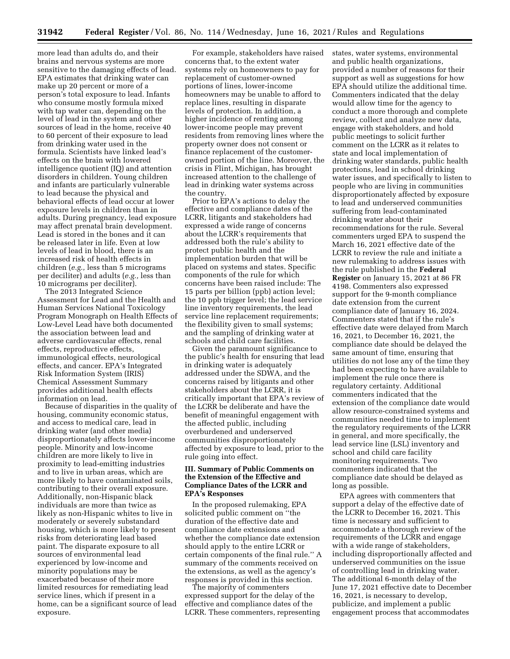more lead than adults do, and their brains and nervous systems are more sensitive to the damaging effects of lead. EPA estimates that drinking water can make up 20 percent or more of a person's total exposure to lead. Infants who consume mostly formula mixed with tap water can, depending on the level of lead in the system and other sources of lead in the home, receive 40 to 60 percent of their exposure to lead from drinking water used in the formula. Scientists have linked lead's effects on the brain with lowered intelligence quotient (IQ) and attention disorders in children. Young children and infants are particularly vulnerable to lead because the physical and behavioral effects of lead occur at lower exposure levels in children than in adults. During pregnancy, lead exposure may affect prenatal brain development. Lead is stored in the bones and it can be released later in life. Even at low levels of lead in blood, there is an increased risk of health effects in children (*e.g.,* less than 5 micrograms per deciliter) and adults (*e.g.,* less than 10 micrograms per deciliter).

The 2013 Integrated Science Assessment for Lead and the Health and Human Services National Toxicology Program Monograph on Health Effects of Low-Level Lead have both documented the association between lead and adverse cardiovascular effects, renal effects, reproductive effects, immunological effects, neurological effects, and cancer. EPA's Integrated Risk Information System (IRIS) Chemical Assessment Summary provides additional health effects information on lead.

Because of disparities in the quality of housing, community economic status, and access to medical care, lead in drinking water (and other media) disproportionately affects lower-income people. Minority and low-income children are more likely to live in proximity to lead-emitting industries and to live in urban areas, which are more likely to have contaminated soils, contributing to their overall exposure. Additionally, non-Hispanic black individuals are more than twice as likely as non-Hispanic whites to live in moderately or severely substandard housing, which is more likely to present risks from deteriorating lead based paint. The disparate exposure to all sources of environmental lead experienced by low-income and minority populations may be exacerbated because of their more limited resources for remediating lead service lines, which if present in a home, can be a significant source of lead exposure.

For example, stakeholders have raised concerns that, to the extent water systems rely on homeowners to pay for replacement of customer-owned portions of lines, lower-income homeowners may be unable to afford to replace lines, resulting in disparate levels of protection. In addition, a higher incidence of renting among lower-income people may prevent residents from removing lines where the property owner does not consent or finance replacement of the customerowned portion of the line. Moreover, the crisis in Flint, Michigan, has brought increased attention to the challenge of lead in drinking water systems across the country.

Prior to EPA's actions to delay the effective and compliance dates of the LCRR, litigants and stakeholders had expressed a wide range of concerns about the LCRR's requirements that addressed both the rule's ability to protect public health and the implementation burden that will be placed on systems and states. Specific components of the rule for which concerns have been raised include: The 15 parts per billion (ppb) action level; the 10 ppb trigger level; the lead service line inventory requirements, the lead service line replacement requirements; the flexibility given to small systems; and the sampling of drinking water at schools and child care facilities.

Given the paramount significance to the public's health for ensuring that lead in drinking water is adequately addressed under the SDWA, and the concerns raised by litigants and other stakeholders about the LCRR, it is critically important that EPA's review of the LCRR be deliberate and have the benefit of meaningful engagement with the affected public, including overburdened and underserved communities disproportionately affected by exposure to lead, prior to the rule going into effect.

# **III. Summary of Public Comments on the Extension of the Effective and Compliance Dates of the LCRR and EPA's Responses**

In the proposed rulemaking, EPA solicited public comment on ''the duration of the effective date and compliance date extensions and whether the compliance date extension should apply to the entire LCRR or certain components of the final rule.'' A summary of the comments received on the extensions, as well as the agency's responses is provided in this section.

The majority of commenters expressed support for the delay of the effective and compliance dates of the LCRR. These commenters, representing states, water systems, environmental and public health organizations, provided a number of reasons for their support as well as suggestions for how EPA should utilize the additional time. Commenters indicated that the delay would allow time for the agency to conduct a more thorough and complete review, collect and analyze new data, engage with stakeholders, and hold public meetings to solicit further comment on the LCRR as it relates to state and local implementation of drinking water standards, public health protections, lead in school drinking water issues, and specifically to listen to people who are living in communities disproportionately affected by exposure to lead and underserved communities suffering from lead-contaminated drinking water about their recommendations for the rule. Several commenters urged EPA to suspend the March 16, 2021 effective date of the LCRR to review the rule and initiate a new rulemaking to address issues with the rule published in the **Federal Register** on January 15, 2021 at 86 FR 4198. Commenters also expressed support for the 9-month compliance date extension from the current compliance date of January 16, 2024. Commenters stated that if the rule's effective date were delayed from March 16, 2021, to December 16, 2021, the compliance date should be delayed the same amount of time, ensuring that utilities do not lose any of the time they had been expecting to have available to implement the rule once there is regulatory certainty. Additional commenters indicated that the extension of the compliance date would allow resource-constrained systems and communities needed time to implement the regulatory requirements of the LCRR in general, and more specifically, the lead service line (LSL) inventory and school and child care facility monitoring requirements. Two commenters indicated that the compliance date should be delayed as long as possible.

EPA agrees with commenters that support a delay of the effective date of the LCRR to December 16, 2021. This time is necessary and sufficient to accommodate a thorough review of the requirements of the LCRR and engage with a wide range of stakeholders, including disproportionally affected and underserved communities on the issue of controlling lead in drinking water. The additional 6-month delay of the June 17, 2021 effective date to December 16, 2021, is necessary to develop, publicize, and implement a public engagement process that accommodates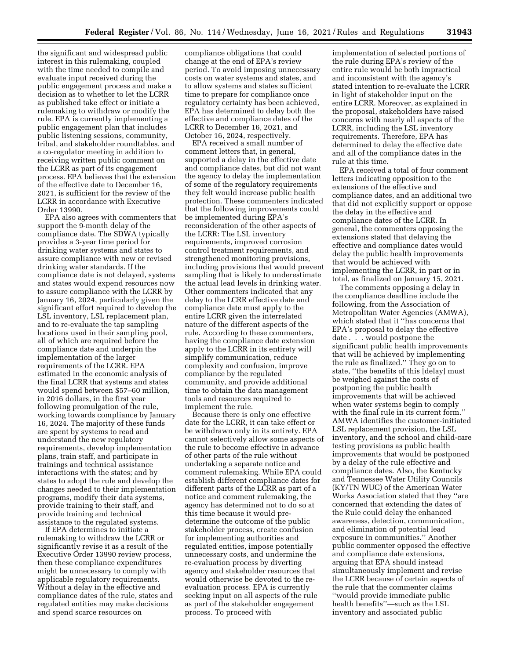the significant and widespread public interest in this rulemaking, coupled with the time needed to compile and evaluate input received during the public engagement process and make a decision as to whether to let the LCRR as published take effect or initiate a rulemaking to withdraw or modify the rule. EPA is currently implementing a public engagement plan that includes public listening sessions, community, tribal, and stakeholder roundtables, and a co-regulator meeting in addition to receiving written public comment on the LCRR as part of its engagement process. EPA believes that the extension of the effective date to December 16, 2021, is sufficient for the review of the LCRR in accordance with Executive Order 13990.

EPA also agrees with commenters that support the 9-month delay of the compliance date. The SDWA typically provides a 3-year time period for drinking water systems and states to assure compliance with new or revised drinking water standards. If the compliance date is not delayed, systems and states would expend resources now to assure compliance with the LCRR by January 16, 2024, particularly given the significant effort required to develop the LSL inventory, LSL replacement plan, and to re-evaluate the tap sampling locations used in their sampling pool, all of which are required before the compliance date and underpin the implementation of the larger requirements of the LCRR. EPA estimated in the economic analysis of the final LCRR that systems and states would spend between \$57–60 million, in 2016 dollars, in the first year following promulgation of the rule, working towards compliance by January 16, 2024. The majority of these funds are spent by systems to read and understand the new regulatory requirements, develop implementation plans, train staff, and participate in trainings and technical assistance interactions with the states; and by states to adopt the rule and develop the changes needed to their implementation programs, modify their data systems, provide training to their staff, and provide training and technical assistance to the regulated systems.

If EPA determines to initiate a rulemaking to withdraw the LCRR or significantly revise it as a result of the Executive Order 13990 review process, then these compliance expenditures might be unnecessary to comply with applicable regulatory requirements. Without a delay in the effective and compliance dates of the rule, states and regulated entities may make decisions and spend scarce resources on

compliance obligations that could change at the end of EPA's review period. To avoid imposing unnecessary costs on water systems and states, and to allow systems and states sufficient time to prepare for compliance once regulatory certainty has been achieved, EPA has determined to delay both the effective and compliance dates of the LCRR to December 16, 2021, and October 16, 2024, respectively.

EPA received a small number of comment letters that, in general, supported a delay in the effective date and compliance dates, but did not want the agency to delay the implementation of some of the regulatory requirements they felt would increase public health protection. These commenters indicated that the following improvements could be implemented during EPA's reconsideration of the other aspects of the LCRR: The LSL inventory requirements, improved corrosion control treatment requirements, and strengthened monitoring provisions, including provisions that would prevent sampling that is likely to underestimate the actual lead levels in drinking water. Other commenters indicated that any delay to the LCRR effective date and compliance date must apply to the entire LCRR given the interrelated nature of the different aspects of the rule. According to these commenters, having the compliance date extension apply to the LCRR in its entirety will simplify communication, reduce complexity and confusion, improve compliance by the regulated community, and provide additional time to obtain the data management tools and resources required to implement the rule.

Because there is only one effective date for the LCRR, it can take effect or be withdrawn only in its entirety. EPA cannot selectively allow some aspects of the rule to become effective in advance of other parts of the rule without undertaking a separate notice and comment rulemaking. While EPA could establish different compliance dates for different parts of the LCRR as part of a notice and comment rulemaking, the agency has determined not to do so at this time because it would predetermine the outcome of the public stakeholder process, create confusion for implementing authorities and regulated entities, impose potentially unnecessary costs, and undermine the re-evaluation process by diverting agency and stakeholder resources that would otherwise be devoted to the reevaluation process. EPA is currently seeking input on all aspects of the rule as part of the stakeholder engagement process. To proceed with

implementation of selected portions of the rule during EPA's review of the entire rule would be both impractical and inconsistent with the agency's stated intention to re-evaluate the LCRR in light of stakeholder input on the entire LCRR. Moreover, as explained in the proposal, stakeholders have raised concerns with nearly all aspects of the LCRR, including the LSL inventory requirements. Therefore, EPA has determined to delay the effective date and all of the compliance dates in the rule at this time.

EPA received a total of four comment letters indicating opposition to the extensions of the effective and compliance dates, and an additional two that did not explicitly support or oppose the delay in the effective and compliance dates of the LCRR. In general, the commenters opposing the extensions stated that delaying the effective and compliance dates would delay the public health improvements that would be achieved with implementing the LCRR, in part or in total, as finalized on January 15, 2021.

The comments opposing a delay in the compliance deadline include the following, from the Association of Metropolitan Water Agencies (AMWA), which stated that it ''has concerns that EPA's proposal to delay the effective date . . . would postpone the significant public health improvements that will be achieved by implementing the rule as finalized.'' They go on to state, ''the benefits of this [delay] must be weighed against the costs of postponing the public health improvements that will be achieved when water systems begin to comply with the final rule in its current form.'' AMWA identifies the customer-initiated LSL replacement provision, the LSL inventory, and the school and child-care testing provisions as public health improvements that would be postponed by a delay of the rule effective and compliance dates. Also, the Kentucky and Tennessee Water Utility Councils (KY/TN WUC) of the American Water Works Association stated that they ''are concerned that extending the dates of the Rule could delay the enhanced awareness, detection, communication, and elimination of potential lead exposure in communities.'' Another public commenter opposed the effective and compliance date extensions, arguing that EPA should instead simultaneously implement and revise the LCRR because of certain aspects of the rule that the commenter claims ''would provide immediate public health benefits''—such as the LSL inventory and associated public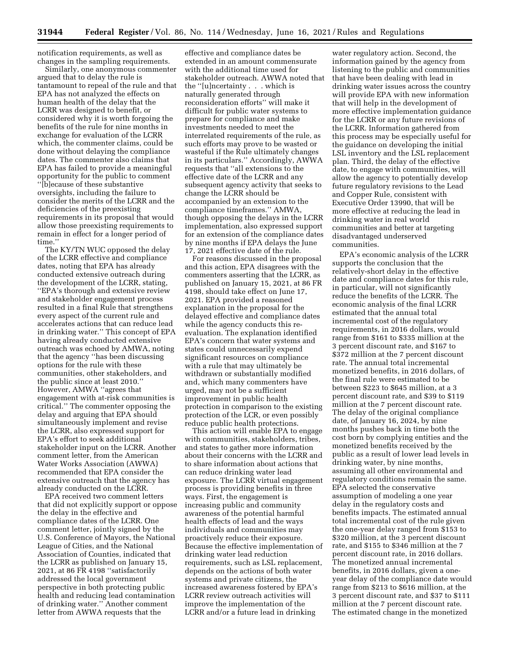notification requirements, as well as changes in the sampling requirements.

Similarly, one anonymous commenter argued that to delay the rule is tantamount to repeal of the rule and that EPA has not analyzed the effects on human health of the delay that the LCRR was designed to benefit, or considered why it is worth forgoing the benefits of the rule for nine months in exchange for evaluation of the LCRR which, the commenter claims, could be done without delaying the compliance dates. The commenter also claims that EPA has failed to provide a meaningful opportunity for the public to comment ''[b]ecause of these substantive oversights, including the failure to consider the merits of the LCRR and the deficiencies of the preexisting requirements in its proposal that would allow those preexisting requirements to remain in effect for a longer period of time.''

The KY/TN WUC opposed the delay of the LCRR effective and compliance dates, noting that EPA has already conducted extensive outreach during the development of the LCRR, stating, ''EPA's thorough and extensive review and stakeholder engagement process resulted in a final Rule that strengthens every aspect of the current rule and accelerates actions that can reduce lead in drinking water.'' This concept of EPA having already conducted extensive outreach was echoed by AMWA, noting that the agency ''has been discussing options for the rule with these communities, other stakeholders, and the public since at least 2010.'' However, AMWA ''agrees that engagement with at-risk communities is critical.'' The commenter opposing the delay and arguing that EPA should simultaneously implement and revise the LCRR, also expressed support for EPA's effort to seek additional stakeholder input on the LCRR. Another comment letter, from the American Water Works Association (AWWA) recommended that EPA consider the extensive outreach that the agency has already conducted on the LCRR.

EPA received two comment letters that did not explicitly support or oppose the delay in the effective and compliance dates of the LCRR. One comment letter, jointly signed by the U.S. Conference of Mayors, the National League of Cities, and the National Association of Counties, indicated that the LCRR as published on January 15, 2021, at 86 FR 4198 ''satisfactorily addressed the local government perspective in both protecting public health and reducing lead contamination of drinking water.'' Another comment letter from AWWA requests that the

effective and compliance dates be extended in an amount commensurate with the additional time used for stakeholder outreach. AWWA noted that the ''[u]ncertainty . . . which is naturally generated through reconsideration efforts'' will make it difficult for public water systems to prepare for compliance and make investments needed to meet the interrelated requirements of the rule, as such efforts may prove to be wasted or wasteful if the Rule ultimately changes in its particulars.'' Accordingly, AWWA requests that ''all extensions to the effective date of the LCRR and any subsequent agency activity that seeks to change the LCRR should be accompanied by an extension to the compliance timeframes.'' AMWA, though opposing the delays in the LCRR implementation, also expressed support for an extension of the compliance dates by nine months if EPA delays the June 17, 2021 effective date of the rule.

For reasons discussed in the proposal and this action, EPA disagrees with the commenters asserting that the LCRR, as published on January 15, 2021, at 86 FR 4198, should take effect on June 17, 2021. EPA provided a reasoned explanation in the proposal for the delayed effective and compliance dates while the agency conducts this reevaluation. The explanation identified EPA's concern that water systems and states could unnecessarily expend significant resources on compliance with a rule that may ultimately be withdrawn or substantially modified and, which many commenters have urged, may not be a sufficient improvement in public health protection in comparison to the existing protection of the LCR, or even possibly reduce public health protections.

This action will enable EPA to engage with communities, stakeholders, tribes, and states to gather more information about their concerns with the LCRR and to share information about actions that can reduce drinking water lead exposure. The LCRR virtual engagement process is providing benefits in three ways. First, the engagement is increasing public and community awareness of the potential harmful health effects of lead and the ways individuals and communities may proactively reduce their exposure. Because the effective implementation of drinking water lead reduction requirements, such as LSL replacement, depends on the actions of both water systems and private citizens, the increased awareness fostered by EPA's LCRR review outreach activities will improve the implementation of the LCRR and/or a future lead in drinking

water regulatory action. Second, the information gained by the agency from listening to the public and communities that have been dealing with lead in drinking water issues across the country will provide EPA with new information that will help in the development of more effective implementation guidance for the LCRR or any future revisions of the LCRR. Information gathered from this process may be especially useful for the guidance on developing the initial LSL inventory and the LSL replacement plan. Third, the delay of the effective date, to engage with communities, will allow the agency to potentially develop future regulatory revisions to the Lead and Copper Rule, consistent with Executive Order 13990, that will be more effective at reducing the lead in drinking water in real world communities and better at targeting disadvantaged underserved communities.

EPA's economic analysis of the LCRR supports the conclusion that the relatively-short delay in the effective date and compliance dates for this rule, in particular, will not significantly reduce the benefits of the LCRR. The economic analysis of the final LCRR estimated that the annual total incremental cost of the regulatory requirements, in 2016 dollars, would range from \$161 to \$335 million at the 3 percent discount rate, and \$167 to \$372 million at the 7 percent discount rate. The annual total incremental monetized benefits, in 2016 dollars, of the final rule were estimated to be between \$223 to \$645 million, at a 3 percent discount rate, and \$39 to \$119 million at the 7 percent discount rate. The delay of the original compliance date, of January 16, 2024, by nine months pushes back in time both the cost born by complying entities and the monetized benefits received by the public as a result of lower lead levels in drinking water, by nine months, assuming all other environmental and regulatory conditions remain the same. EPA selected the conservative assumption of modeling a one year delay in the regulatory costs and benefits impacts. The estimated annual total incremental cost of the rule given the one-year delay ranged from \$153 to \$320 million, at the 3 percent discount rate, and \$155 to \$346 million at the 7 percent discount rate, in 2016 dollars. The monetized annual incremental benefits, in 2016 dollars, given a oneyear delay of the compliance date would range from \$213 to \$616 million, at the 3 percent discount rate, and \$37 to \$111 million at the 7 percent discount rate. The estimated change in the monetized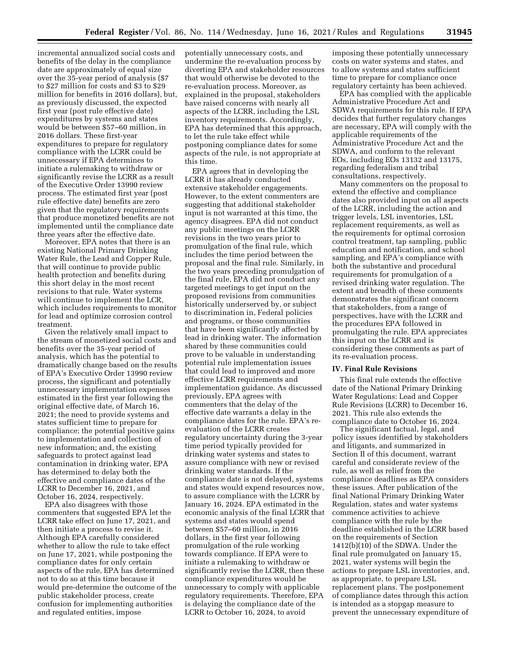incremental annualized social costs and benefits of the delay in the compliance date are approximately of equal size over the 35-year period of analysis (\$7 to \$27 million for costs and \$3 to \$29 million for benefits in 2016 dollars), but, as previously discussed, the expected first year (post rule effective date) expenditures by systems and states would be between \$57–60 million, in 2016 dollars. These first-year expenditures to prepare for regulatory compliance with the LCRR could be unnecessary if EPA determines to initiate a rulemaking to withdraw or significantly revise the LCRR as a result of the Executive Order 13990 review process. The estimated first year (post rule effective date) benefits are zero given that the regulatory requirements that produce monetized benefits are not implemented until the compliance date three years after the effective date.

Moreover, EPA notes that there is an existing National Primary Drinking Water Rule, the Lead and Copper Rule, that will continue to provide public health protection and benefits during this short delay in the most recent revisions to that rule. Water systems will continue to implement the LCR, which includes requirements to monitor for lead and optimize corrosion control treatment.

Given the relatively small impact to the stream of monetized social costs and benefits over the 35-year period of analysis, which has the potential to dramatically change based on the results of EPA's Executive Order 13990 review process, the significant and potentially unnecessary implementation expenses estimated in the first year following the original effective date, of March 16, 2021; the need to provide systems and states sufficient time to prepare for compliance; the potential positive gains to implementation and collection of new information; and, the existing safeguards to protect against lead contamination in drinking water, EPA has determined to delay both the effective and compliance dates of the LCRR to December 16, 2021, and October 16, 2024, respectively.

EPA also disagrees with those commenters that suggested EPA let the LCRR take effect on June 17, 2021, and then initiate a process to revise it. Although EPA carefully considered whether to allow the rule to take effect on June 17, 2021, while postponing the compliance dates for only certain aspects of the rule, EPA has determined not to do so at this time because it would pre-determine the outcome of the public stakeholder process, create confusion for implementing authorities and regulated entities, impose

potentially unnecessary costs, and undermine the re-evaluation process by diverting EPA and stakeholder resources that would otherwise be devoted to the re-evaluation process. Moreover, as explained in the proposal, stakeholders have raised concerns with nearly all aspects of the LCRR, including the LSL inventory requirements. Accordingly, EPA has determined that this approach, to let the rule take effect while postponing compliance dates for some aspects of the rule, is not appropriate at this time.

EPA agrees that in developing the LCRR it has already conducted extensive stakeholder engagements. However, to the extent commenters are suggesting that additional stakeholder input is not warranted at this time, the agency disagrees. EPA did not conduct any public meetings on the LCRR revisions in the two years prior to promulgation of the final rule, which includes the time period between the proposal and the final rule. Similarly, in the two years preceding promulgation of the final rule, EPA did not conduct any targeted meetings to get input on the proposed revisions from communities historically underserved by, or subject to discrimination in, Federal policies and programs, or those communities that have been significantly affected by lead in drinking water. The information shared by these communities could prove to be valuable in understanding potential rule implementation issues that could lead to improved and more effective LCRR requirements and implementation guidance. As discussed previously, EPA agrees with commenters that the delay of the effective date warrants a delay in the compliance dates for the rule. EPA's reevaluation of the LCRR creates regulatory uncertainty during the 3-year time period typically provided for drinking water systems and states to assure compliance with new or revised drinking water standards. If the compliance date is not delayed, systems and states would expend resources now, to assure compliance with the LCRR by January 16, 2024. EPA estimated in the economic analysis of the final LCRR that systems and states would spend between \$57–60 million, in 2016 dollars, in the first year following promulgation of the rule working towards compliance. If EPA were to initiate a rulemaking to withdraw or significantly revise the LCRR, then these compliance expenditures would be unnecessary to comply with applicable regulatory requirements. Therefore, EPA is delaying the compliance date of the LCRR to October 16, 2024, to avoid

imposing these potentially unnecessary costs on water systems and states, and to allow systems and states sufficient time to prepare for compliance once regulatory certainty has been achieved.

EPA has complied with the applicable Administrative Procedure Act and SDWA requirements for this rule. If EPA decides that further regulatory changes are necessary, EPA will comply with the applicable requirements of the Administrative Procedure Act and the SDWA, and conform to the relevant EOs, including EOs 13132 and 13175, regarding federalism and tribal consultations, respectively.

Many commenters on the proposal to extend the effective and compliance dates also provided input on all aspects of the LCRR, including the action and trigger levels, LSL inventories, LSL replacement requirements, as well as the requirements for optimal corrosion control treatment, tap sampling, public education and notification, and school sampling, and EPA's compliance with both the substantive and procedural requirements for promulgation of a revised drinking water regulation. The extent and breadth of these comments demonstrates the significant concern that stakeholders, from a range of perspectives, have with the LCRR and the procedures EPA followed in promulgating the rule. EPA appreciates this input on the LCRR and is considering these comments as part of its re-evaluation process.

#### **IV. Final Rule Revisions**

This final rule extends the effective date of the National Primary Drinking Water Regulations: Lead and Copper Rule Revisions (LCRR) to December 16, 2021. This rule also extends the compliance date to October 16, 2024.

The significant factual, legal, and policy issues identified by stakeholders and litigants, and summarized in Section II of this document, warrant careful and considerate review of the rule, as well as relief from the compliance deadlines as EPA considers these issues. After publication of the final National Primary Drinking Water Regulation, states and water systems commence activities to achieve compliance with the rule by the deadline established in the LCRR based on the requirements of Section 1412(b)(10) of the SDWA. Under the final rule promulgated on January 15, 2021, water systems will begin the actions to prepare LSL inventories, and, as appropriate, to prepare LSL replacement plans. The postponement of compliance dates through this action is intended as a stopgap measure to prevent the unnecessary expenditure of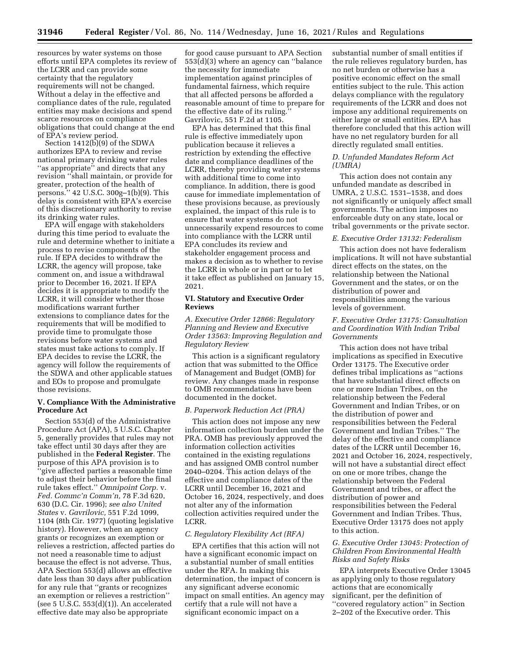resources by water systems on those efforts until EPA completes its review of the LCRR and can provide some certainty that the regulatory requirements will not be changed. Without a delay in the effective and compliance dates of the rule, regulated entities may make decisions and spend scarce resources on compliance obligations that could change at the end of EPA's review period.

Section 1412(b)(9) of the SDWA authorizes EPA to review and revise national primary drinking water rules ''as appropriate'' and directs that any revision ''shall maintain, or provide for greater, protection of the health of persons.'' 42 U.S.C. 300g–1(b)(9). This delay is consistent with EPA's exercise of this discretionary authority to revise its drinking water rules.

EPA will engage with stakeholders during this time period to evaluate the rule and determine whether to initiate a process to revise components of the rule. If EPA decides to withdraw the LCRR, the agency will propose, take comment on, and issue a withdrawal prior to December 16, 2021. If EPA decides it is appropriate to modify the LCRR, it will consider whether those modifications warrant further extensions to compliance dates for the requirements that will be modified to provide time to promulgate those revisions before water systems and states must take actions to comply. If EPA decides to revise the LCRR, the agency will follow the requirements of the SDWA and other applicable statues and EOs to propose and promulgate those revisions.

# **V. Compliance With the Administrative Procedure Act**

Section 553(d) of the Administrative Procedure Act (APA), 5 U.S.C. Chapter 5, generally provides that rules may not take effect until 30 days after they are published in the **Federal Register**. The purpose of this APA provision is to ''give affected parties a reasonable time to adjust their behavior before the final rule takes effect.'' *Omnipoint Corp.* v. *Fed. Commc'n Comm'n,* 78 F.3d 620, 630 (D.C. Cir. 1996); *see also United States* v. *Gavrilovic,* 551 F.2d 1099, 1104 (8th Cir. 1977) (quoting legislative history). However, when an agency grants or recognizes an exemption or relieves a restriction, affected parties do not need a reasonable time to adjust because the effect is not adverse. Thus, APA Section 553(d) allows an effective date less than 30 days after publication for any rule that ''grants or recognizes an exemption or relieves a restriction'' (see 5 U.S.C.  $553(d)(1)$ ). An accelerated effective date may also be appropriate

for good cause pursuant to APA Section 553(d)(3) where an agency can ''balance the necessity for immediate implementation against principles of fundamental fairness, which require that all affected persons be afforded a reasonable amount of time to prepare for the effective date of its ruling.'' Gavrilovic, 551 F.2d at 1105.

EPA has determined that this final rule is effective immediately upon publication because it relieves a restriction by extending the effective date and compliance deadlines of the LCRR, thereby providing water systems with additional time to come into compliance. In addition, there is good cause for immediate implementation of these provisions because, as previously explained, the impact of this rule is to ensure that water systems do not unnecessarily expend resources to come into compliance with the LCRR until EPA concludes its review and stakeholder engagement process and makes a decision as to whether to revise the LCRR in whole or in part or to let it take effect as published on January 15, 2021.

#### **VI. Statutory and Executive Order Reviews**

*A. Executive Order 12866: Regulatory Planning and Review and Executive Order 13563: Improving Regulation and Regulatory Review* 

This action is a significant regulatory action that was submitted to the Office of Management and Budget (OMB) for review. Any changes made in response to OMB recommendations have been documented in the docket.

#### *B. Paperwork Reduction Act (PRA)*

This action does not impose any new information collection burden under the PRA. OMB has previously approved the information collection activities contained in the existing regulations and has assigned OMB control number 2040–0204. This action delays of the effective and compliance dates of the LCRR until December 16, 2021 and October 16, 2024, respectively, and does not alter any of the information collection activities required under the LCRR.

## *C. Regulatory Flexibility Act (RFA)*

EPA certifies that this action will not have a significant economic impact on a substantial number of small entities under the RFA. In making this determination, the impact of concern is any significant adverse economic impact on small entities. An agency may certify that a rule will not have a significant economic impact on a

substantial number of small entities if the rule relieves regulatory burden, has no net burden or otherwise has a positive economic effect on the small entities subject to the rule. This action delays compliance with the regulatory requirements of the LCRR and does not impose any additional requirements on either large or small entities. EPA has therefore concluded that this action will have no net regulatory burden for all directly regulated small entities.

#### *D. Unfunded Mandates Reform Act (UMRA)*

This action does not contain any unfunded mandate as described in UMRA, 2 U.S.C. 1531–1538, and does not significantly or uniquely affect small governments. The action imposes no enforceable duty on any state, local or tribal governments or the private sector.

#### *E. Executive Order 13132: Federalism*

This action does not have federalism implications. It will not have substantial direct effects on the states, on the relationship between the National Government and the states, or on the distribution of power and responsibilities among the various levels of government.

## *F. Executive Order 13175: Consultation and Coordination With Indian Tribal Governments*

This action does not have tribal implications as specified in Executive Order 13175. The Executive order defines tribal implications as ''actions that have substantial direct effects on one or more Indian Tribes, on the relationship between the Federal Government and Indian Tribes, or on the distribution of power and responsibilities between the Federal Government and Indian Tribes.'' The delay of the effective and compliance dates of the LCRR until December 16, 2021 and October 16, 2024, respectively, will not have a substantial direct effect on one or more tribes, change the relationship between the Federal Government and tribes, or affect the distribution of power and responsibilities between the Federal Government and Indian Tribes. Thus, Executive Order 13175 does not apply to this action.

# *G. Executive Order 13045: Protection of Children From Environmental Health Risks and Safety Risks*

EPA interprets Executive Order 13045 as applying only to those regulatory actions that are economically significant, per the definition of ''covered regulatory action'' in Section 2–202 of the Executive order. This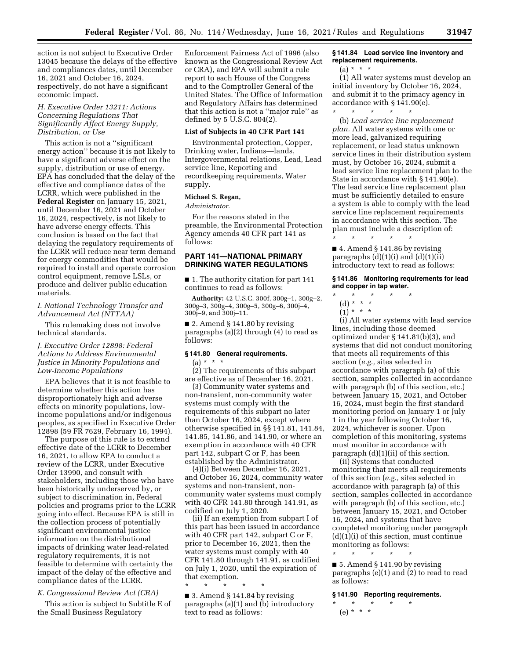action is not subject to Executive Order 13045 because the delays of the effective and compliances dates, until December 16, 2021 and October 16, 2024, respectively, do not have a significant economic impact.

## *H. Executive Order 13211: Actions Concerning Regulations That Significantly Affect Energy Supply, Distribution, or Use*

This action is not a ''significant energy action'' because it is not likely to have a significant adverse effect on the supply, distribution or use of energy. EPA has concluded that the delay of the effective and compliance dates of the LCRR, which were published in the **Federal Register** on January 15, 2021, until December 16, 2021 and October 16, 2024, respectively, is not likely to have adverse energy effects. This conclusion is based on the fact that delaying the regulatory requirements of the LCRR will reduce near term demand for energy commodities that would be required to install and operate corrosion control equipment, remove LSLs, or produce and deliver public education materials.

# *I. National Technology Transfer and Advancement Act (NTTAA)*

This rulemaking does not involve technical standards.

# *J. Executive Order 12898: Federal Actions to Address Environmental Justice in Minority Populations and Low-Income Populations*

EPA believes that it is not feasible to determine whether this action has disproportionately high and adverse effects on minority populations, lowincome populations and/or indigenous peoples, as specified in Executive Order 12898 (59 FR 7629, February 16, 1994).

The purpose of this rule is to extend effective date of the LCRR to December 16, 2021, to allow EPA to conduct a review of the LCRR, under Executive Order 13990, and consult with stakeholders, including those who have been historically underserved by, or subject to discrimination in, Federal policies and programs prior to the LCRR going into effect. Because EPA is still in the collection process of potentially significant environmental justice information on the distributional impacts of drinking water lead-related regulatory requirements, it is not feasible to determine with certainty the impact of the delay of the effective and compliance dates of the LCRR.

## *K. Congressional Review Act (CRA)*

This action is subject to Subtitle E of the Small Business Regulatory

Enforcement Fairness Act of 1996 (also known as the Congressional Review Act or CRA), and EPA will submit a rule report to each House of the Congress and to the Comptroller General of the United States. The Office of Information and Regulatory Affairs has determined that this action is not a ''major rule'' as defined by 5 U.S.C. 804(2).

#### **List of Subjects in 40 CFR Part 141**

Environmental protection, Copper, Drinking water, Indians—lands, Intergovernmental relations, Lead, Lead service line, Reporting and recordkeeping requirements, Water supply.

#### **Michael S. Regan,**

*Administrator.* 

For the reasons stated in the preamble, the Environmental Protection Agency amends 40 CFR part 141 as follows:

## **PART 141—NATIONAL PRIMARY DRINKING WATER REGULATIONS**

■ 1. The authority citation for part 141 continues to read as follows:

**Authority:** 42 U.S.C. 300f, 300g–1, 300g–2, 300g–3, 300g–4, 300g–5, 300g–6, 300j–4, 300j–9, and 300j–11.

■ 2. Amend § 141.80 by revising paragraphs (a)(2) through (4) to read as follows:

#### **§ 141.80 General requirements.**

(a) \* \* \*

(2) The requirements of this subpart are effective as of December 16, 2021.

(3) Community water systems and non-transient, non-community water systems must comply with the requirements of this subpart no later than October 16, 2024, except where otherwise specified in §§ 141.81, 141.84, 141.85, 141.86, and 141.90, or where an exemption in accordance with 40 CFR part 142, subpart C or F, has been established by the Administrator.

(4)(i) Between December 16, 2021, and October 16, 2024, community water systems and non-transient, noncommunity water systems must comply with 40 CFR 141.80 through 141.91, as codified on July 1, 2020.

(ii) If an exemption from subpart I of this part has been issued in accordance with 40 CFR part 142, subpart C or F, prior to December 16, 2021, then the water systems must comply with 40 CFR 141.80 through 141.91, as codified on July 1, 2020, until the expiration of that exemption.

■ 3. Amend § 141.84 by revising paragraphs (a)(1) and (b) introductory text to read as follows:

\* \* \* \* \*

## **§ 141.84 Lead service line inventory and replacement requirements.**

(a) \* \* \*

(1) All water systems must develop an initial inventory by October 16, 2024, and submit it to the primacy agency in accordance with § 141.90(e). \* \* \* \* \*

(b) *Lead service line replacement plan.* All water systems with one or more lead, galvanized requiring replacement, or lead status unknown service lines in their distribution system must, by October 16, 2024, submit a lead service line replacement plan to the State in accordance with § 141.90(e). The lead service line replacement plan must be sufficiently detailed to ensure a system is able to comply with the lead service line replacement requirements in accordance with this section. The plan must include a description of: \* \* \* \* \*

 $\blacksquare$  4. Amend § 141.86 by revising paragraphs  $(d)(1)(i)$  and  $(d)(1)(ii)$ introductory text to read as follows:

**§ 141.86 Monitoring requirements for lead and copper in tap water.** 

- \* \* \* \* \*
	- (d) \* \* \*
	- $(1) * * * *$

(i) All water systems with lead service lines, including those deemed optimized under § 141.81(b)(3), and systems that did not conduct monitoring that meets all requirements of this section (*e.g.,* sites selected in accordance with paragraph (a) of this section, samples collected in accordance with paragraph (b) of this section, etc.) between January 15, 2021, and October 16, 2024, must begin the first standard monitoring period on January 1 or July 1 in the year following October 16, 2024, whichever is sooner. Upon completion of this monitoring, systems must monitor in accordance with paragraph (d)(1)(ii) of this section.

(ii) Systems that conducted monitoring that meets all requirements of this section (*e.g.,* sites selected in accordance with paragraph (a) of this section, samples collected in accordance with paragraph (b) of this section, etc.) between January 15, 2021, and October 16, 2024, and systems that have completed monitoring under paragraph  $(d)(1)(i)$  of this section, must continue monitoring as follows:

\* \* \* \* \*

 $\blacksquare$  5. Amend § 141.90 by revising paragraphs (e)(1) and (2) to read to read as follows:

# **§ 141.90 Reporting requirements.**

\* \* \* \* \* (e) \* \* \*